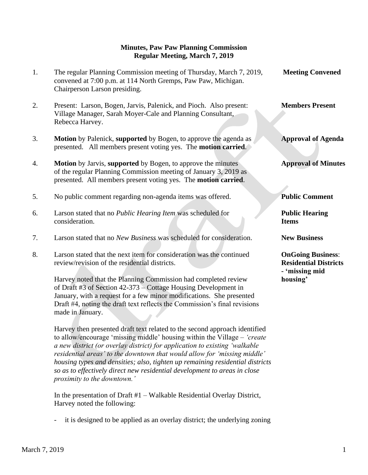## **Minutes, Paw Paw Planning Commission Regular Meeting, March 7, 2019**

| 1. | The regular Planning Commission meeting of Thursday, March 7, 2019,<br>convened at 7:00 p.m. at 114 North Gremps, Paw Paw, Michigan.<br>Chairperson Larson presiding.                              | <b>Meeting Convened</b>                                  |
|----|----------------------------------------------------------------------------------------------------------------------------------------------------------------------------------------------------|----------------------------------------------------------|
| 2. | Present: Larson, Bogen, Jarvis, Palenick, and Pioch. Also present:<br>Village Manager, Sarah Moyer-Cale and Planning Consultant,<br>Rebecca Harvey.                                                | <b>Members Present</b>                                   |
| 3. | <b>Motion</b> by Palenick, supported by Bogen, to approve the agenda as<br>presented. All members present voting yes. The <b>motion carried</b> .                                                  | <b>Approval of Agenda</b>                                |
| 4. | Motion by Jarvis, supported by Bogen, to approve the minutes<br>of the regular Planning Commission meeting of January 3, 2019 as<br>presented. All members present voting yes. The motion carried. | <b>Approval of Minutes</b>                               |
| 5. | No public comment regarding non-agenda items was offered.                                                                                                                                          | <b>Public Comment</b>                                    |
| 6. | Larson stated that no Public Hearing Item was scheduled for<br>consideration.                                                                                                                      | <b>Public Hearing</b><br><b>Items</b>                    |
| 7. | Larson stated that no New Business was scheduled for consideration.                                                                                                                                | <b>New Business</b>                                      |
| 8. | Larson stated that the next item for consideration was the continued<br>review/revision of the residential districts.                                                                              | <b>OnGoing Business:</b><br><b>Residential Districts</b> |
|    | Harvey noted that the Planning Commission had completed review                                                                                                                                     | - 'missing mid<br>housing'                               |

 Harvey then presented draft text related to the second approach identified to allow/encourage 'missing middle' housing within the Village – *'create a new district (or overlay district) for application to existing 'walkable residential areas' to the downtown that would allow for 'missing middle' housing types and densities; also, tighten up remaining residential districts so as to effectively direct new residential development to areas in close proximity to the downtown.'*

 In the presentation of Draft #1 – Walkable Residential Overlay District, Harvey noted the following:

- it is designed to be applied as an overlay district; the underlying zoning

made in January.